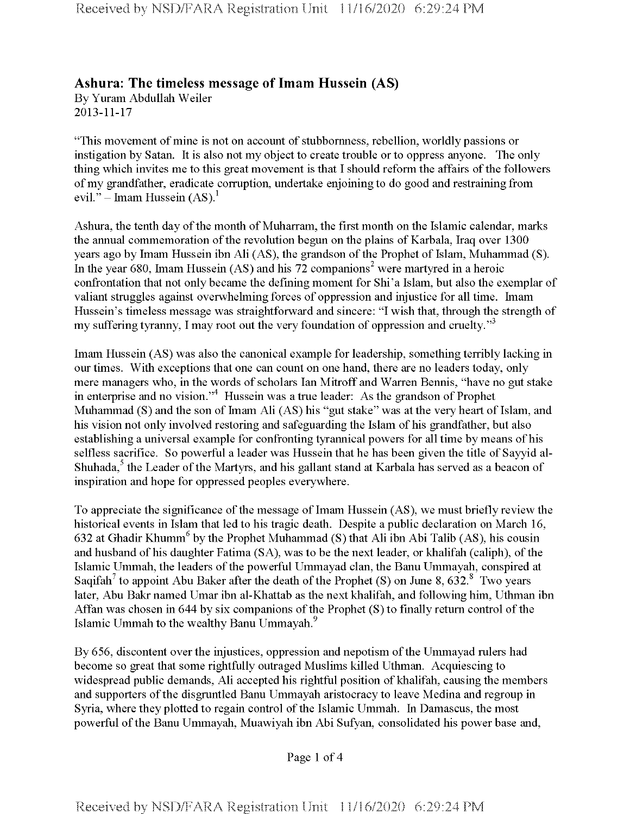## **Ashura: The timeless message ofImam Hussein (AS)**

By Yuram Abdullah Weiler 2013-11-17

"This movement of mine is not on account of stubbornness, rebellion, worldly passions or instigation by Satan. It is also not my object to create trouble or to oppress anyone. The only thing which invites me to this great movement is that I should reform the affairs of the followers ofmy grandfather, eradicate corruption, undertake enjoining to do good and restraining from evil." – Imam Hussein  $(AS)^1$ 

Ashura, the tenth day of the month of Muharram, the first month on the Islamic calendar, marks the annual commemoration of the revolution begun on the plains of Karbala, Iraq over 1300 years ago by Imam Hussein ibn Ali (AS), the grandson of the Prophet of Islam, Muhammad (S). In the year 680, Imam Hussein  $(AS)$  and his 72 companions<sup>2</sup> were martyred in a heroic confrontation that not only became the defining moment for Shi'a Islam, but also the exemplar of valiant struggles against overwhelming forces of oppression and injustice for all time. Imam Hussein's timeless message was straightforward and sincere: "I wish that, through the strength of my suffering tyranny, I may root out the very foundation of oppression and cruelty."<sup>3</sup>

Imam Hussein (AS) was also the canonical example for leadership, something terribly lacking in our times. With exceptions that one can count on one hand, there are no leaders today, only mere managers who, in the words of scholars Ian Mitroff and Warren Bennis, "have no gut stake in enterprise and no vision."4 Hussein was a true leader: As the grandson of Prophet Muhammad (S) and the son of Imam Ali (AS) his "gut stake" was at the very heart of Islam, and his vision not only involved restoring and safeguarding the Islam of his grandfather, but also establishing a universal example for confronting tyrannical powers for all time by means ofhis selfless sacrifice. So powerful a leader was Hussein that he has been given the title of Sayyid al-Shuhada,<sup>5</sup> the Leader of the Martyrs, and his gallant stand at Karbala has served as a beacon of inspiration and hope for oppressed peoples everywhere.

To appreciate the significance of the message of Imam Hussein (AS), we must briefly review the historical events in Islam that led to his tragic death. Despite a public declaration on March 16, 632 at Ghadir Khumm<sup>6</sup> by the Prophet Muhammad (S) that Ali ibn Abi Talib (AS), his cousin and husband of his daughter Fatima  $(SA)$ , was to be the next leader, or khalifah (caliph), of the Islamic Ummah, the leaders of the powerful Ummayad clan, the Banu Ummayah, conspired at Saqifah<sup>7</sup> to appoint Abu Baker after the death of the Prophet (S) on June 8, 632.<sup>8</sup> Two years later, Abu Bakr named Umar ibn al-Khattab as the next khalifah, and following him, Uthman ibn Affan was chosen in 644 by six companions of the Prophet  $(S)$  to finally return control of the Islamic Ummah to the wealthy Banu Ummayah.<sup>9</sup>

By 656, discontent over the injustices, oppression and nepotism of the Ummayad rulers had become so great that some rightfully outraged Muslims killed Uthman. Acquiescing to widespread public demands, Ali accepted his rightful position of khalifah, causing the members and supporters ofthe disgruntled Banu Ummayah aristocracy to leave Medina and regroup in Syria, where they plotted to regain control of the Islamic Ummah. In Damascus, the most powerful ofthe Banu Ummayah, Muawiyah ibn Abi Sufyan, consolidated his power base and,

Page <sup>1</sup> of 4

**Received by NSD/FARA Registration Unit 11/16/2020 6:29:24 PM**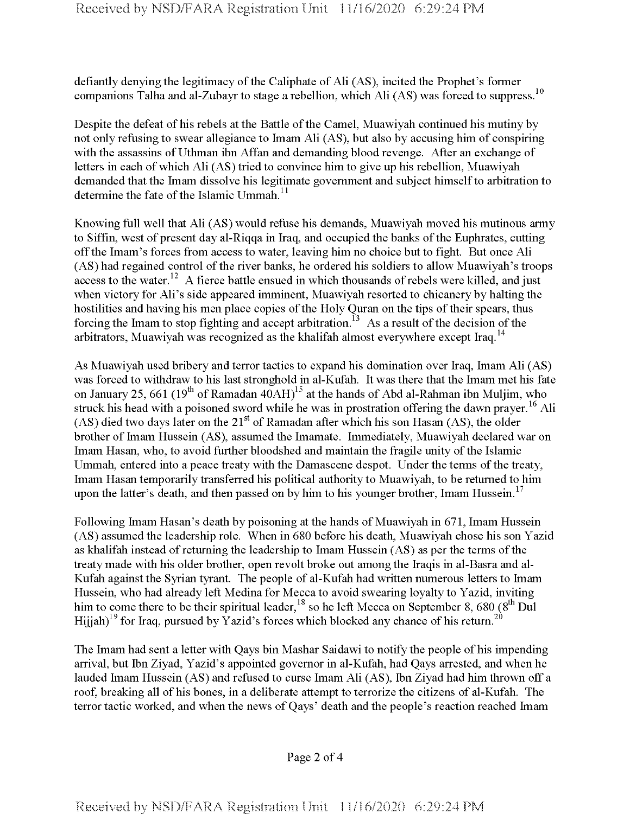defiantly denying the legitimacy of the Caliphate of Ali (AS), incited the Prophet's former companions Talha and al-Zubayr to stage a rebellion, which Ali (AS) was forced to suppress.<sup>10</sup>

Despite the defeat of his rebels at the Battle of the Camel, Muawiyah continued his mutiny by not only refusing to swear allegiance to Imam Ali (AS), but also by accusing him of conspiring with the assassins of Uthman ibn Affan and demanding blood revenge. After an exchange of letters in each ofwhich Ali (AS) tried to convince him to give up his rebellion, Muawiyah demanded that the Imam dissolve his legitimate government and subject himself to arbitration to determine the fate of the Islamic Ummah.<sup>11</sup>

Knowing full well that Ali (AS) would refuse his demands, Muawiyah moved his mutinous army to Siffin, west of present day al-Riqqa in Iraq, and occupied the banks of the Euphrates, cutting offthe Imam's forces from access to water, leaving him no choice but to fight. But once Ali (AS) had regained control of the river banks, he ordered his soldiers to allow Muawiyah's troops access to the water.<sup>12</sup> A fierce battle ensued in which thousands of rebels were killed, and just when victory for Ali's side appeared imminent, Muawiyah resorted to chicanery by halting the hostilities and having his men place copies of the Holy Quran on the tips of their spears, thus forcing the Imam to stop fighting and accept arbitration.<sup>13</sup> As a result of the decision of the arbitrators, Muawiyah was recognized as the khalifah almost everywhere except Iraq.<sup>14</sup>

As Muawiyah used bribery and terror tactics to expand his domination over Iraq, Imam Ali (AS) was forced to withdraw to his last stronghold in al-Kufah. It was there that the Imam met his fate on January 25, 661 (19<sup>th</sup> of Ramadan  $40$ AH)<sup>15</sup> at the hands of Abd al-Rahman ibn Muljim, who struck his head with a poisoned sword while he was in prostration offering the dawn prayer.<sup>16</sup> Ali (AS) died two days later on the  $21<sup>st</sup>$  of Ramadan after which his son Hasan (AS), the older brother ofImam Hussein (AS), assumed the Imamate. Immediately, Muawiyah declared war on Imam Hasan, who, to avoid further bloodshed and maintain the fragile unity of the Islamic Ummah, entered into a peace treaty with the Damascene despot. Under the terms of the treaty, Imam Hasan temporarily transferred his political authority to Muawiyah, to be returned to him upon the latter's death, and then passed on by him to his younger brother, Imam Hussein.<sup>17</sup>

Following Imam Hasan's death by poisoning at the hands of Muawiyah in 671, Imam Hussein (AS) assumed the leadership role. When in 680 before his death, Muawiyah chose his son Yazid as khalifah instead of returning the leadership to Imam Hussein (AS) as per the terms of the treaty made with his older brother, open revolt broke out among the Iraqis in al-Basra and al-Kufah against the Syrian tyrant. The people of al-Kufah had written numerous letters to Imam Hussein, who had already left Medina for Mecca to avoid swearing loyalty to Yazid, inviting him to come there to be their spiritual leader  $^{18}$  so he left Mecca on September 8, 680 (8<sup>th</sup> Dul Hijjah)<sup>19</sup> for Iraq, pursued by Yazid's forces which blocked any chance of his return.<sup>20</sup>

The Imam had sent a letter with Qays bin Mashar Saidawi to notify the people of his impending arrival, but Ibn Ziyad, Yazid's appointed governor in al-Kufah, had Qays arrested, and when he lauded Imam Hussein (AS) and refused to curse Imam Ali (AS), Ibn Ziyad had him thrown off a roof, breaking all of his bones, in a deliberate attempt to terrorize the citizens of al-Kufah. The terror tactic worked, and when the news ofQays' death and the people's reaction reached Imam

Page 2 of 4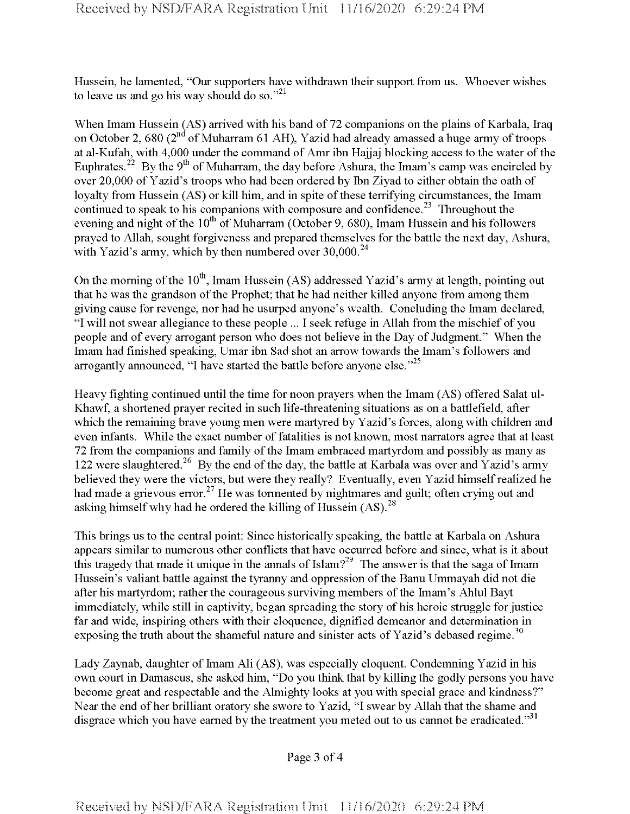Hussein, he lamented, "Our supporters have withdrawn their support from us. Whoever wishes to leave us and go his way should do so."<sup>21</sup>

When Imam Hussein  $(AS)$  arrived with his band of 72 companions on the plains of Karbala, Iraq on October 2, 680 ( $2<sup>nd</sup>$  of Muharram 61 AH), Yazid had already amassed a huge army of troops at al-Kufah, with 4,000 under the command of Amr ibn Hajjaj blocking access to the water of the Euphrates.<sup>22</sup> By the 9<sup>th</sup> of Muharram, the day before Ashura, the Imam's camp was encircled by over 20,000 of Yazid's troops who had been ordered by Ibn Ziyad to either obtain the oath of loyalty from Hussein (AS) or kill him, and in spite of these terrifying circumstances, the Imam continued to speak to his companions with composure and confidence.<sup>23</sup> Throughout the evening and night of the  $10<sup>th</sup>$  of Muharram (October 9, 680), Imam Hussein and his followers prayed to Allah, sought forgiveness and prepared themselves for the battle the next day, Ashura, with Yazid's army, which by then numbered over  $30,000^{24}$ 

On the morning of the  $10^{th}$ , Imam Hussein (AS) addressed Yazid's army at length, pointing out that he was the grandson of the Prophet; that he had neither killed anyone from among them giving cause for revenge, nor had he usurped anyone's wealth. Concluding the Imam declared, "I will not swear allegiance to these people ... I seek refuge in Allah from the mischief of you people and of every arrogant person who does not believe in the Day of Judgment." When the Imam had finished speaking, Umar ibn Sad shot an arrow towards the Imam's followers and arrogantly announced, "I have started the battle before anyone else."<sup>25</sup>

Heavy fighting continued until the time for noon prayers when the Imam (AS) offered Salat ul-Khawf, a shortened prayer recited in such life-threatening situations as on a battlefield, after which the remaining brave young men were martyred by Yazid's forces, along with children and even infants. While the exact number of fatalities is not known, most narrators agree that at least 72 from the companions and family of the Imam embraced martyrdom and possibly as many as 122 were slaughtered.<sup>26</sup> By the end of the day, the battle at Karbala was over and Yazid's army believed they were the victors, but were they really? Eventually, even Yazid himself realized he had made a grievous error.<sup>27</sup> He was tormented by nightmares and guilt; often crying out and asking himself why had he ordered the killing of Hussein  $(AS)$ <sup>28</sup>

This brings us to the central point: Since historically speaking, the battle at Karbala on Ashura appears similar to numerous other conflicts that have occurred before and since, what is it about this tragedy that made it unique in the annals of Islam?<sup>29</sup> The answer is that the saga of Imam Hussein's valiant battle against the tyranny and oppression of the Banu Ummayah did not die after his martyrdom; rather the courageous surviving members of the Imam's Ahlul Bayt immediately, while still in captivity, began spreading the story of his heroic struggle for justice far and wide, inspiring others with their eloquence, dignified demeanor and determination in exposing the truth about the shameful nature and sinister acts of Yazid's debased regime.<sup>30</sup>

Lady Zaynab, daughter of Imam Ali (AS), was especially eloquent. Condemning Yazid in his own court in Damascus, she asked him, "Do you think that by killing the godly persons you have become great and respectable and the Almighty looks at you with special grace and kindness?" Near the end of her brilliant oratory she swore to Yazid, "I swear by Allah that the shame and disgrace which you have earned by the treatment you meted out to us cannot be eradicated."<sup>31</sup>

Page 3 of 4